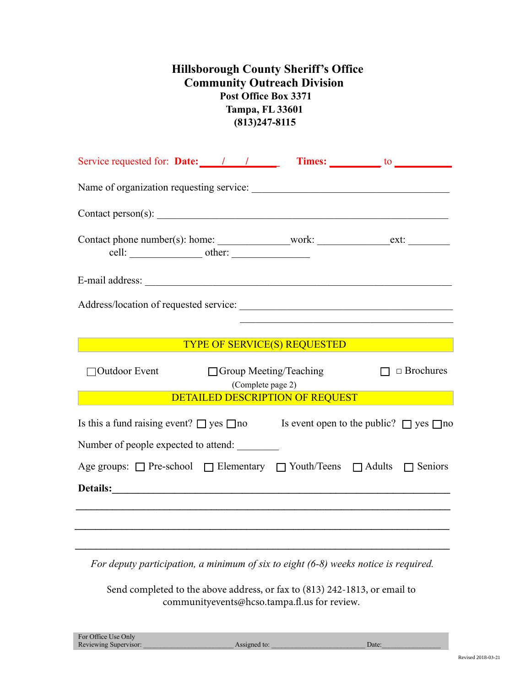## **Hillsborough County Sheriff's Office Community Outreach Division Post Office Box 3371 Tampa, FL 33601 (813)247-8115**

| Service requested for: Date: 1 1 1 Times: to the service requested for: Date:                                                                                                                                                  |  |  |  |
|--------------------------------------------------------------------------------------------------------------------------------------------------------------------------------------------------------------------------------|--|--|--|
|                                                                                                                                                                                                                                |  |  |  |
|                                                                                                                                                                                                                                |  |  |  |
|                                                                                                                                                                                                                                |  |  |  |
|                                                                                                                                                                                                                                |  |  |  |
|                                                                                                                                                                                                                                |  |  |  |
|                                                                                                                                                                                                                                |  |  |  |
| <b>TYPE OF SERVICE(S) REQUESTED</b>                                                                                                                                                                                            |  |  |  |
| $\Box$ Brochures<br>Outdoor Event<br>$\Box$ Group Meeting/Teaching<br>(Complete page 2)<br>DETAILED DESCRIPTION OF REQUEST                                                                                                     |  |  |  |
| Is this a fund raising event? $\Box$ yes $\Box$ no Is event open to the public? $\Box$ yes $\Box$ no                                                                                                                           |  |  |  |
| Number of people expected to attend:                                                                                                                                                                                           |  |  |  |
| Age groups: □ Pre-school □ Elementary □ Youth/Teens □ Adults □ Seniors                                                                                                                                                         |  |  |  |
| Details: Note and the contract of the contract of the contract of the contract of the contract of the contract of the contract of the contract of the contract of the contract of the contract of the contract of the contract |  |  |  |
|                                                                                                                                                                                                                                |  |  |  |
|                                                                                                                                                                                                                                |  |  |  |

*For deputy participation, a minimum of six to eight (6-8) weeks notice is required.*

Send completed to the above address, or fax to (813) 242-1813, or email to communityevents@hcso.tampa.fl.us for review.